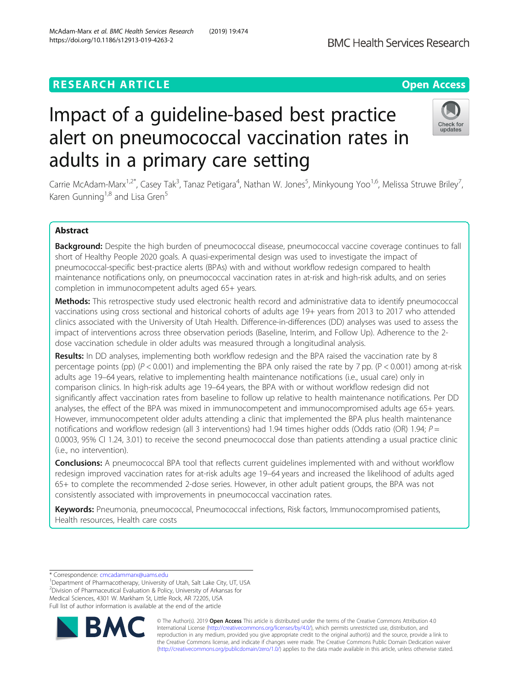## **RESEARCH ARTICLE Example 2014 12:30 The Contract of Contract ACCESS**

# Impact of a guideline-based best practice alert on pneumococcal vaccination rates in adults in a primary care setting

Carrie McAdam-Marx<sup>1,2\*</sup>, Casey Tak<sup>3</sup>, Tanaz Petigara<sup>4</sup>, Nathan W. Jones<sup>5</sup>, Minkyoung Yoo<sup>1,6</sup>, Melissa Struwe Briley<sup>7</sup> , Karen Gunning<sup>1,8</sup> and Lisa Gren<sup>5</sup>

## Abstract

Background: Despite the high burden of pneumococcal disease, pneumococcal vaccine coverage continues to fall short of Healthy People 2020 goals. A quasi-experimental design was used to investigate the impact of pneumococcal-specific best-practice alerts (BPAs) with and without workflow redesign compared to health maintenance notifications only, on pneumococcal vaccination rates in at-risk and high-risk adults, and on series completion in immunocompetent adults aged 65+ years.

Methods: This retrospective study used electronic health record and administrative data to identify pneumococcal vaccinations using cross sectional and historical cohorts of adults age 19+ years from 2013 to 2017 who attended clinics associated with the University of Utah Health. Difference-in-differences (DD) analyses was used to assess the impact of interventions across three observation periods (Baseline, Interim, and Follow Up). Adherence to the 2 dose vaccination schedule in older adults was measured through a longitudinal analysis.

Results: In DD analyses, implementing both workflow redesign and the BPA raised the vaccination rate by 8 percentage points (pp)  $(P < 0.001)$  and implementing the BPA only raised the rate by 7 pp. ( $P < 0.001$ ) among at-risk adults age 19–64 years, relative to implementing health maintenance notifications (i.e., usual care) only in comparison clinics. In high-risk adults age 19–64 years, the BPA with or without workflow redesign did not significantly affect vaccination rates from baseline to follow up relative to health maintenance notifications. Per DD analyses, the effect of the BPA was mixed in immunocompetent and immunocompromised adults age 65+ years. However, immunocompetent older adults attending a clinic that implemented the BPA plus health maintenance notifications and workflow redesign (all 3 interventions) had 1.94 times higher odds (Odds ratio (OR) 1.94;  $P =$ 0.0003, 95% CI 1.24, 3.01) to receive the second pneumococcal dose than patients attending a usual practice clinic (i.e., no intervention).

**Conclusions:** A pneumococcal BPA tool that reflects current quidelines implemented with and without workflow redesign improved vaccination rates for at-risk adults age 19–64 years and increased the likelihood of adults aged 65+ to complete the recommended 2-dose series. However, in other adult patient groups, the BPA was not consistently associated with improvements in pneumococcal vaccination rates.

Keywords: Pneumonia, pneumococcal, Pneumococcal infections, Risk factors, Immunocompromised patients, Health resources, Health care costs



BA

© The Author(s). 2019 **Open Access** This article is distributed under the terms of the Creative Commons Attribution 4.0 International License [\(http://creativecommons.org/licenses/by/4.0/](http://creativecommons.org/licenses/by/4.0/)), which permits unrestricted use, distribution, and reproduction in any medium, provided you give appropriate credit to the original author(s) and the source, provide a link to the Creative Commons license, and indicate if changes were made. The Creative Commons Public Domain Dedication waiver [\(http://creativecommons.org/publicdomain/zero/1.0/](http://creativecommons.org/publicdomain/zero/1.0/)) applies to the data made available in this article, unless otherwise stated.



<sup>&</sup>lt;sup>1</sup>Department of Pharmacotherapy, University of Utah, Salt Lake City, UT, USA 2 Division of Pharmaceutical Evaluation & Policy, University of Arkansas for Medical Sciences, 4301 W. Markham St, Little Rock, AR 72205, USA Full list of author information is available at the end of the article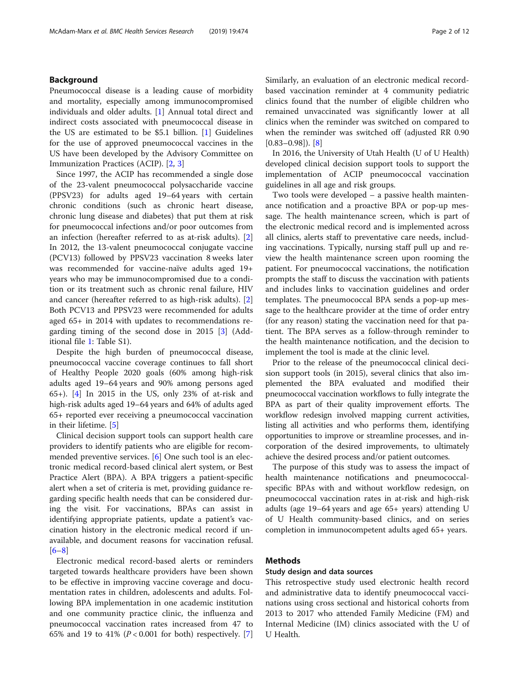## Background

Pneumococcal disease is a leading cause of morbidity and mortality, especially among immunocompromised individuals and older adults. [[1\]](#page-10-0) Annual total direct and indirect costs associated with pneumococcal disease in the US are estimated to be \$5.1 billion. [[1\]](#page-10-0) Guidelines for the use of approved pneumococcal vaccines in the US have been developed by the Advisory Committee on Immunization Practices (ACIP). [[2,](#page-10-0) [3\]](#page-10-0)

Since 1997, the ACIP has recommended a single dose of the 23-valent pneumococcal polysaccharide vaccine (PPSV23) for adults aged 19–64 years with certain chronic conditions (such as chronic heart disease, chronic lung disease and diabetes) that put them at risk for pneumococcal infections and/or poor outcomes from an infection (hereafter referred to as at-risk adults). [\[2](#page-10-0)] In 2012, the 13-valent pneumococcal conjugate vaccine (PCV13) followed by PPSV23 vaccination 8 weeks later was recommended for vaccine-naïve adults aged 19+ years who may be immunocompromised due to a condition or its treatment such as chronic renal failure, HIV and cancer (hereafter referred to as high-risk adults). [\[2](#page-10-0)] Both PCV13 and PPSV23 were recommended for adults aged 65+ in 2014 with updates to recommendations regarding timing of the second dose in 2015 [\[3](#page-10-0)] (Additional file [1:](#page-9-0) Table S1).

Despite the high burden of pneumococcal disease, pneumococcal vaccine coverage continues to fall short of Healthy People 2020 goals (60% among high-risk adults aged 19–64 years and 90% among persons aged 65+). [[4\]](#page-10-0) In 2015 in the US, only 23% of at-risk and high-risk adults aged 19–64 years and 64% of adults aged 65+ reported ever receiving a pneumococcal vaccination in their lifetime. [[5\]](#page-11-0)

Clinical decision support tools can support health care providers to identify patients who are eligible for recommended preventive services. [[6](#page-11-0)] One such tool is an electronic medical record-based clinical alert system, or Best Practice Alert (BPA). A BPA triggers a patient-specific alert when a set of criteria is met, providing guidance regarding specific health needs that can be considered during the visit. For vaccinations, BPAs can assist in identifying appropriate patients, update a patient's vaccination history in the electronic medical record if unavailable, and document reasons for vaccination refusal.  $[6-8]$  $[6-8]$  $[6-8]$  $[6-8]$ 

Electronic medical record-based alerts or reminders targeted towards healthcare providers have been shown to be effective in improving vaccine coverage and documentation rates in children, adolescents and adults. Following BPA implementation in one academic institution and one community practice clinic, the influenza and pneumococcal vaccination rates increased from 47 to 65% and 19 to 41% ( $P < 0.001$  for both) respectively. [\[7](#page-11-0)] Similarly, an evaluation of an electronic medical recordbased vaccination reminder at 4 community pediatric clinics found that the number of eligible children who remained unvaccinated was significantly lower at all clinics when the reminder was switched on compared to when the reminder was switched off (adjusted RR 0.90  $[0.83-0.98]$ .  $[8]$  $[8]$ 

In 2016, the University of Utah Health (U of U Health) developed clinical decision support tools to support the implementation of ACIP pneumococcal vaccination guidelines in all age and risk groups.

Two tools were developed – a passive health maintenance notification and a proactive BPA or pop-up message. The health maintenance screen, which is part of the electronic medical record and is implemented across all clinics, alerts staff to preventative care needs, including vaccinations. Typically, nursing staff pull up and review the health maintenance screen upon rooming the patient. For pneumococcal vaccinations, the notification prompts the staff to discuss the vaccination with patients and includes links to vaccination guidelines and order templates. The pneumococcal BPA sends a pop-up message to the healthcare provider at the time of order entry (for any reason) stating the vaccination need for that patient. The BPA serves as a follow-through reminder to the health maintenance notification, and the decision to implement the tool is made at the clinic level.

Prior to the release of the pneumococcal clinical decision support tools (in 2015), several clinics that also implemented the BPA evaluated and modified their pneumococcal vaccination workflows to fully integrate the BPA as part of their quality improvement efforts. The workflow redesign involved mapping current activities, listing all activities and who performs them, identifying opportunities to improve or streamline processes, and incorporation of the desired improvements, to ultimately achieve the desired process and/or patient outcomes.

The purpose of this study was to assess the impact of health maintenance notifications and pneumococcalspecific BPAs with and without workflow redesign, on pneumococcal vaccination rates in at-risk and high-risk adults (age 19–64 years and age 65+ years) attending U of U Health community-based clinics, and on series completion in immunocompetent adults aged 65+ years.

## Methods

### Study design and data sources

This retrospective study used electronic health record and administrative data to identify pneumococcal vaccinations using cross sectional and historical cohorts from 2013 to 2017 who attended Family Medicine (FM) and Internal Medicine (IM) clinics associated with the U of U Health.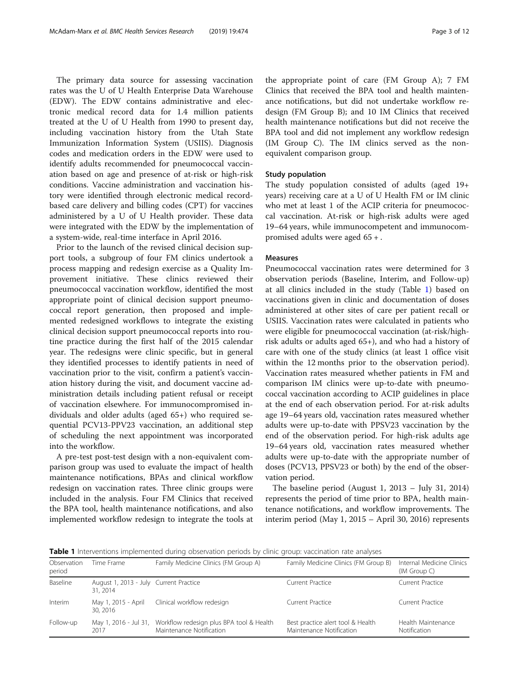<span id="page-2-0"></span>The primary data source for assessing vaccination rates was the U of U Health Enterprise Data Warehouse (EDW). The EDW contains administrative and electronic medical record data for 1.4 million patients treated at the U of U Health from 1990 to present day, including vaccination history from the Utah State Immunization Information System (USIIS). Diagnosis codes and medication orders in the EDW were used to identify adults recommended for pneumococcal vaccination based on age and presence of at-risk or high-risk conditions. Vaccine administration and vaccination history were identified through electronic medical recordbased care delivery and billing codes (CPT) for vaccines administered by a U of U Health provider. These data were integrated with the EDW by the implementation of a system-wide, real-time interface in April 2016.

Prior to the launch of the revised clinical decision support tools, a subgroup of four FM clinics undertook a process mapping and redesign exercise as a Quality Improvement initiative. These clinics reviewed their pneumococcal vaccination workflow, identified the most appropriate point of clinical decision support pneumococcal report generation, then proposed and implemented redesigned workflows to integrate the existing clinical decision support pneumococcal reports into routine practice during the first half of the 2015 calendar year. The redesigns were clinic specific, but in general they identified processes to identify patients in need of vaccination prior to the visit, confirm a patient's vaccination history during the visit, and document vaccine administration details including patient refusal or receipt of vaccination elsewhere. For immunocompromised individuals and older adults (aged 65+) who required sequential PCV13-PPV23 vaccination, an additional step of scheduling the next appointment was incorporated into the workflow.

A pre-test post-test design with a non-equivalent comparison group was used to evaluate the impact of health maintenance notifications, BPAs and clinical workflow redesign on vaccination rates. Three clinic groups were included in the analysis. Four FM Clinics that received the BPA tool, health maintenance notifications, and also implemented workflow redesign to integrate the tools at

the appropriate point of care (FM Group A); 7 FM Clinics that received the BPA tool and health maintenance notifications, but did not undertake workflow redesign (FM Group B); and 10 IM Clinics that received health maintenance notifications but did not receive the BPA tool and did not implement any workflow redesign (IM Group C). The IM clinics served as the nonequivalent comparison group.

## Study population

The study population consisted of adults (aged 19+ years) receiving care at a U of U Health FM or IM clinic who met at least 1 of the ACIP criteria for pneumococcal vaccination. At-risk or high-risk adults were aged 19–64 years, while immunocompetent and immunocompromised adults were aged 65 + .

## Measures

Pneumococcal vaccination rates were determined for 3 observation periods (Baseline, Interim, and Follow-up) at all clinics included in the study (Table 1) based on vaccinations given in clinic and documentation of doses administered at other sites of care per patient recall or USIIS. Vaccination rates were calculated in patients who were eligible for pneumococcal vaccination (at-risk/highrisk adults or adults aged 65+), and who had a history of care with one of the study clinics (at least 1 office visit within the 12 months prior to the observation period). Vaccination rates measured whether patients in FM and comparison IM clinics were up-to-date with pneumococcal vaccination according to ACIP guidelines in place at the end of each observation period. For at-risk adults age 19–64 years old, vaccination rates measured whether adults were up-to-date with PPSV23 vaccination by the end of the observation period. For high-risk adults age 19–64 years old, vaccination rates measured whether adults were up-to-date with the appropriate number of doses (PCV13, PPSV23 or both) by the end of the observation period.

The baseline period (August 1, 2013 – July 31, 2014) represents the period of time prior to BPA, health maintenance notifications, and workflow improvements. The interim period (May 1, 2015 – April 30, 2016) represents

Table 1 Interventions implemented during observation periods by clinic group: vaccination rate analyses

| Observation<br>period | Time Frame                                         | Family Medicine Clinics (FM Group A)                                                       | Family Medicine Clinics (FM Group B)                          | Internal Medicine Clinics<br>$(M$ Group $C$ ) |
|-----------------------|----------------------------------------------------|--------------------------------------------------------------------------------------------|---------------------------------------------------------------|-----------------------------------------------|
| Baseline              | August 1, 2013 - July Current Practice<br>31, 2014 |                                                                                            | Current Practice                                              | Current Practice                              |
| Interim               | May 1, 2015 - April<br>30.2016                     | Clinical workflow redesign                                                                 | Current Practice                                              | Current Practice                              |
| Follow-up             | 2017                                               | May 1, 2016 - Jul 31, Workflow redesign plus BPA tool & Health<br>Maintenance Notification | Best practice alert tool & Health<br>Maintenance Notification | Health Maintenance<br>Notification            |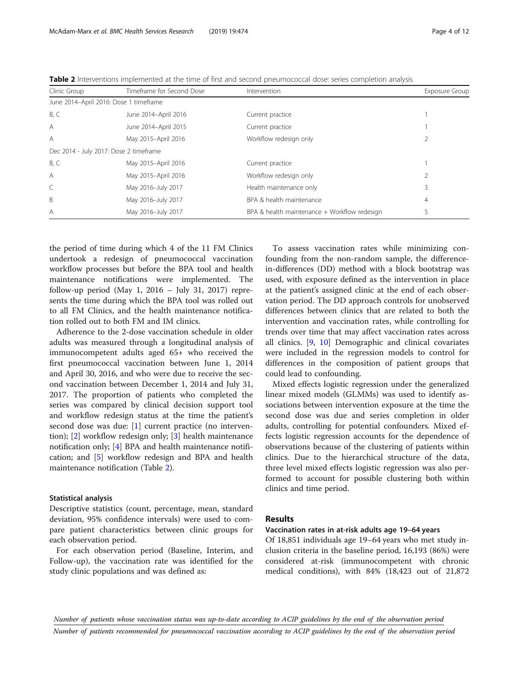|  |  |  | Table 2 Interventions implemented at the time of first and second pneumococcal dose: series completion analysis |  |  |
|--|--|--|-----------------------------------------------------------------------------------------------------------------|--|--|
|  |  |  |                                                                                                                 |  |  |

| Clinic Group   | Timeframe for Second Dose              | Intervention                                 |   |
|----------------|----------------------------------------|----------------------------------------------|---|
|                | June 2014-April 2016: Dose 1 timeframe |                                              |   |
| B, C           | June 2014-April 2016                   | Current practice                             |   |
| A              | June 2014-April 2015                   | Current practice                             |   |
| A              | May 2015-April 2016                    | Workflow redesign only                       |   |
|                | Dec 2014 - July 2017: Dose 2 timeframe |                                              |   |
| B, C           | May 2015-April 2016                    | Current practice                             |   |
| $\overline{A}$ | May 2015-April 2016                    | Workflow redesign only                       |   |
| C              | May 2016-July 2017                     | Health maintenance only                      |   |
| B              | May 2016-July 2017                     | BPA & health maintenance                     | 4 |
| A              | May 2016-July 2017                     | BPA & health maintenance + Workflow redesign |   |

the period of time during which 4 of the 11 FM Clinics undertook a redesign of pneumococcal vaccination workflow processes but before the BPA tool and health maintenance notifications were implemented. The follow-up period (May 1, 2016 – July 31, 2017) represents the time during which the BPA tool was rolled out to all FM Clinics, and the health maintenance notification rolled out to both FM and IM clinics.

Adherence to the 2-dose vaccination schedule in older adults was measured through a longitudinal analysis of immunocompetent adults aged 65+ who received the first pneumococcal vaccination between June 1, 2014 and April 30, 2016, and who were due to receive the second vaccination between December 1, 2014 and July 31, 2017. The proportion of patients who completed the series was compared by clinical decision support tool and workflow redesign status at the time the patient's second dose was due: [\[1\]](#page-10-0) current practice (no intervention); [\[2](#page-10-0)] workflow redesign only; [\[3](#page-10-0)] health maintenance notification only; [\[4](#page-10-0)] BPA and health maintenance notification; and [[5\]](#page-11-0) workflow redesign and BPA and health maintenance notification (Table 2).

## Statistical analysis

Descriptive statistics (count, percentage, mean, standard deviation, 95% confidence intervals) were used to compare patient characteristics between clinic groups for each observation period.

For each observation period (Baseline, Interim, and Follow-up), the vaccination rate was identified for the study clinic populations and was defined as:

To assess vaccination rates while minimizing confounding from the non-random sample, the differencein-differences (DD) method with a block bootstrap was used, with exposure defined as the intervention in place at the patient's assigned clinic at the end of each observation period. The DD approach controls for unobserved differences between clinics that are related to both the intervention and vaccination rates, while controlling for trends over time that may affect vaccination rates across all clinics. [[9,](#page-11-0) [10\]](#page-11-0) Demographic and clinical covariates were included in the regression models to control for differences in the composition of patient groups that could lead to confounding.

Mixed effects logistic regression under the generalized linear mixed models (GLMMs) was used to identify associations between intervention exposure at the time the second dose was due and series completion in older adults, controlling for potential confounders. Mixed effects logistic regression accounts for the dependence of observations because of the clustering of patients within clinics. Due to the hierarchical structure of the data, three level mixed effects logistic regression was also performed to account for possible clustering both within clinics and time period.

## Results

## Vaccination rates in at-risk adults age 19–64 years

Of 18,851 individuals age 19–64 years who met study inclusion criteria in the baseline period, 16,193 (86%) were considered at-risk (immunocompetent with chronic medical conditions), with 84% (18,423 out of 21,872

Number of patients whose vaccination status was up-to-date according to ACIP guidelines by the end of the observation period Number of patients recommended for pneumococcal vaccination according to ACIP guidelines by the end of the observation period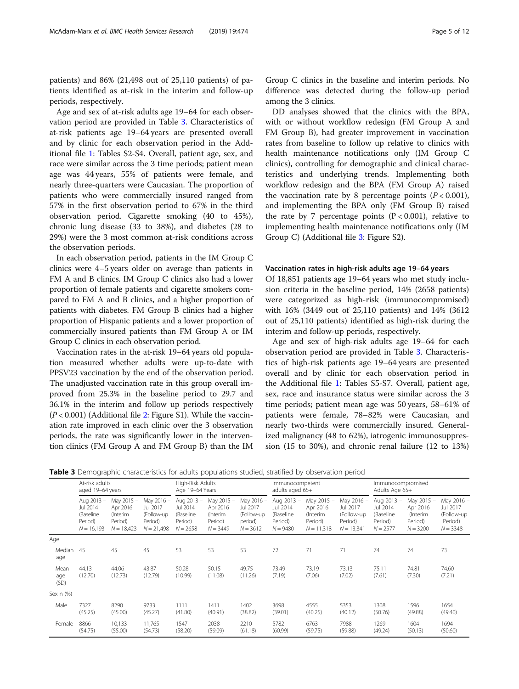patients) and 86% (21,498 out of 25,110 patients) of patients identified as at-risk in the interim and follow-up periods, respectively.

Age and sex of at-risk adults age 19–64 for each observation period are provided in Table 3. Characteristics of at-risk patients age 19–64 years are presented overall and by clinic for each observation period in the Additional file [1:](#page-9-0) Tables S2-S4. Overall, patient age, sex, and race were similar across the 3 time periods; patient mean age was 44 years, 55% of patients were female, and nearly three-quarters were Caucasian. The proportion of patients who were commercially insured ranged from 57% in the first observation period to 67% in the third observation period. Cigarette smoking (40 to 45%), chronic lung disease (33 to 38%), and diabetes (28 to 29%) were the 3 most common at-risk conditions across the observation periods.

In each observation period, patients in the IM Group C clinics were 4–5 years older on average than patients in FM A and B clinics. IM Group C clinics also had a lower proportion of female patients and cigarette smokers compared to FM A and B clinics, and a higher proportion of patients with diabetes. FM Group B clinics had a higher proportion of Hispanic patients and a lower proportion of commercially insured patients than FM Group A or IM Group C clinics in each observation period.

Vaccination rates in the at-risk 19–64 years old population measured whether adults were up-to-date with PPSV23 vaccination by the end of the observation period. The unadjusted vaccination rate in this group overall improved from 25.3% in the baseline period to 29.7 and 36.1% in the interim and follow up periods respectively  $(P<0.001)$  (Additional file [2](#page-9-0): Figure S1). While the vaccination rate improved in each clinic over the 3 observation periods, the rate was significantly lower in the intervention clinics (FM Group A and FM Group B) than the IM

Group C clinics in the baseline and interim periods. No difference was detected during the follow-up period among the 3 clinics.

DD analyses showed that the clinics with the BPA, with or without workflow redesign (FM Group A and FM Group B), had greater improvement in vaccination rates from baseline to follow up relative to clinics with health maintenance notifications only (IM Group C clinics), controlling for demographic and clinical characteristics and underlying trends. Implementing both workflow redesign and the BPA (FM Group A) raised the vaccination rate by 8 percentage points  $(P < 0.001)$ , and implementing the BPA only (FM Group B) raised the rate by 7 percentage points  $(P < 0.001)$ , relative to implementing health maintenance notifications only (IM Group C) (Additional file [3:](#page-10-0) Figure S2).

## Vaccination rates in high-risk adults age 19–64 years

Of 18,851 patients age 19–64 years who met study inclusion criteria in the baseline period, 14% (2658 patients) were categorized as high-risk (immunocompromised) with 16% (3449 out of 25,110 patients) and 14% (3612 out of 25,110 patients) identified as high-risk during the interim and follow-up periods, respectively.

Age and sex of high-risk adults age 19–64 for each observation period are provided in Table 3. Characteristics of high-risk patients age 19–64 years are presented overall and by clinic for each observation period in the Additional file [1:](#page-9-0) Tables S5-S7. Overall, patient age, sex, race and insurance status were similar across the 3 time periods; patient mean age was 50 years, 58–61% of patients were female, 78–82% were Caucasian, and nearly two-thirds were commercially insured. Generalized malignancy (48 to 62%), iatrogenic immunosuppression (15 to 30%), and chronic renal failure (12 to 13%)

At-risk adults aged 19–64 years High-Risk Adults Age 19–64 Years Immunocompetent adults aged 65+ Immunocompromised Adults Age 65+ Aug 2013 – Jul 2014 (Baseline Period)  $N = 16,193$ May 2015 Apr 2016 (Interim Period)  $N = 18,423$ May 2016 – Jul 2017 (Follow-up Period)  $N = 21,498$ Aug 2013 – Jul 2014 (Baseline Period)  $N = 2658$ May 2015 Apr 2016 (Interim Period)  $N = 3449$ May 2016 – Jul 2017 (Follow-up period)  $N = 3612$ Aug 2013 – Jul 2014 (Baseline Period)  $N = 9480$ May 2015 Apr 2016 (Interim Period)  $N = 11,318$ May 2016 Jul 2017 (Follow-up Period)  $N = 13,341$ Aug 2013 – Jul 2014 (Baseline Period)  $N = 2577$ May 2015 Apr 2016 (Interim Period)  $N = 3200$ May 2016 Jul 2017 (Follow-up Period)  $N = 3348$ Age Median age 45 45 45 53 53 53 72 71 71 74 74 73 Mean age  $(5)$ 44.13 (12.70) 44.06 (12.73) 43.87 (12.79) 50.28 (10.99) 50.15 (11.08) 49.75 (11.26) 73.49 (7.19) 73.19 (7.06) 73.13 (7.02) 75.11 (7.61) 74.81 (7.30) 74.60 (7.21) Sex n (%) Male 7327 (45.25) 8290 (45.00) 9733 (45.27) 1111 (41.80) 1411 (40.91) 1402 (38.82) 3698 (39.01) 4555 (40.25) 5353 (40.12) 1308 (50.76) 1596 (49.88) 1654 (49.40) Female 8866 (54.75) 10,133 (55.00) 11,765 (54.73) 1547 (58.20) 2038 (59.09) 2210 (61.18) 5782 (60.99) 6763 (59.75) 7988 (59.88) 1269 (49.24) 1604 (50.13) 1694 (50.60)

**Table 3** Demographic characteristics for adults populations studied, stratified by observation period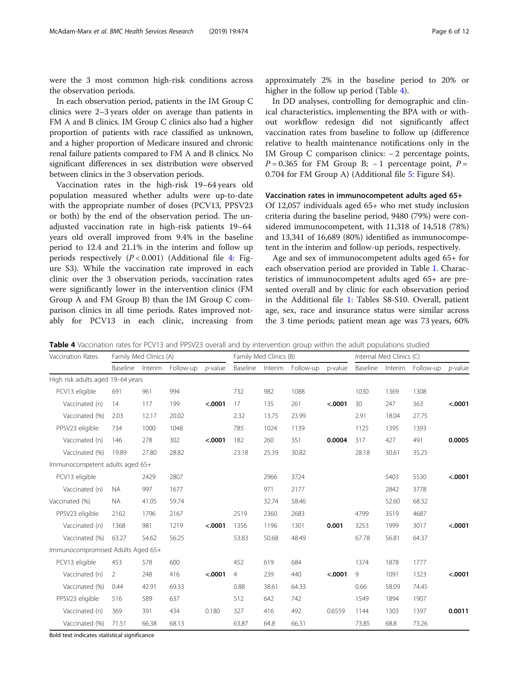<span id="page-5-0"></span>were the 3 most common high-risk conditions across the observation periods.

In each observation period, patients in the IM Group C clinics were 2–3 years older on average than patients in FM A and B clinics. IM Group C clinics also had a higher proportion of patients with race classified as unknown, and a higher proportion of Medicare insured and chronic renal failure patients compared to FM A and B clinics. No significant differences in sex distribution were observed between clinics in the 3 observation periods.

Vaccination rates in the high-risk 19–64 years old population measured whether adults were up-to-date with the appropriate number of doses (PCV13, PPSV23 or both) by the end of the observation period. The unadjusted vaccination rate in high-risk patients 19–64 years old overall improved from 9.4% in the baseline period to 12.4 and 21.1% in the interim and follow up periods respectively  $(P < 0.001)$  (Additional file [4](#page-10-0): Figure S3). While the vaccination rate improved in each clinic over the 3 observation periods, vaccination rates were significantly lower in the intervention clinics (FM Group A and FM Group B) than the IM Group C comparison clinics in all time periods. Rates improved notably for PCV13 in each clinic, increasing from

approximately 2% in the baseline period to 20% or higher in the follow up period (Table 4).

In DD analyses, controlling for demographic and clinical characteristics, implementing the BPA with or without workflow redesign did not significantly affect vaccination rates from baseline to follow up (difference relative to health maintenance notifications only in the IM Group C comparison clinics: − 2 percentage points,  $P = 0.365$  for FM Group B; -1 percentage point,  $P =$ 0.704 for FM Group A) (Additional file [5](#page-10-0): Figure S4).

## Vaccination rates in immunocompetent adults aged 65+

Of 12,057 individuals aged 65+ who met study inclusion criteria during the baseline period, 9480 (79%) were considered immunocompetent, with 11,318 of 14,518 (78%) and 13,341 of 16,689 (80%) identified as immunocompetent in the interim and follow-up periods, respectively.

Age and sex of immunocompetent adults aged 65+ for each observation period are provided in Table [1](#page-2-0). Characteristics of immunocompetent adults aged 65+ are presented overall and by clinic for each observation period in the Additional file [1](#page-9-0): Tables S8-S10. Overall, patient age, sex, race and insurance status were similar across the 3 time periods; patient mean age was 73 years, 60%

Table 4 Vaccination rates for PCV13 and PPSV23 overall and by intervention group within the adult populations studied

| Vaccination Rates                 | Family Med Clinics (A) |         |           | Family Med Clinics (B) |                |         | Internal Med Clinics (C) |         |          |         |           |            |
|-----------------------------------|------------------------|---------|-----------|------------------------|----------------|---------|--------------------------|---------|----------|---------|-----------|------------|
|                                   | <b>Baseline</b>        | Interim | Follow-up | $p$ -value             | Baseline       | Interim | Follow-up                | p-value | Baseline | Interim | Follow-up | $p$ -value |
| High risk adults aged 19-64 years |                        |         |           |                        |                |         |                          |         |          |         |           |            |
| PCV13 eligible                    | 691                    | 961     | 994       |                        | 732            | 982     | 1088                     |         | 1030     | 1369    | 1308      |            |
| Vaccinated (n)                    | 14                     | 117     | 199       | < .0001                | 17             | 135     | 261                      | < .0001 | 30       | 247     | 363       | < .0001    |
| Vaccinated (%)                    | 2.03                   | 12.17   | 20.02     |                        | 2.32           | 13.75   | 23.99                    |         | 2.91     | 18.04   | 27.75     |            |
| PPSV23 eligible                   | 734                    | 1000    | 1048      |                        | 785            | 1024    | 1139                     |         | 1125     | 1395    | 1393      |            |
| Vaccinated (n)                    | 146                    | 278     | 302       | < .0001                | 182            | 260     | 351                      | 0.0004  | 317      | 427     | 491       | 0.0005     |
| Vaccinated (%)                    | 19.89                  | 27.80   | 28.82     |                        | 23.18          | 25.39   | 30.82                    |         | 28.18    | 30.61   | 35.25     |            |
| Immunocompetent adults aged 65+   |                        |         |           |                        |                |         |                          |         |          |         |           |            |
| PCV13 eligible                    |                        | 2429    | 2807      |                        |                | 2966    | 3724                     |         |          | 5403    | 5530      | < .0001    |
| Vaccinated (n)                    | <b>NA</b>              | 997     | 1677      |                        |                | 971     | 2177                     |         |          | 2842    | 3778      |            |
| Vaccinated (%)                    | <b>NA</b>              | 41.05   | 59.74     |                        |                | 32.74   | 58.46                    |         |          | 52.60   | 68.32     |            |
| PPSV23 eligible                   | 2162                   | 1796    | 2167      |                        | 2519           | 2360    | 2683                     |         | 4799     | 3519    | 4687      |            |
| Vaccinated (n)                    | 1368                   | 981     | 1219      | < .0001                | 1356           | 1196    | 1301                     | 0.001   | 3253     | 1999    | 3017      | < .0001    |
| Vaccinated (%)                    | 63.27                  | 54.62   | 56.25     |                        | 53.83          | 50.68   | 48.49                    |         | 67.78    | 56.81   | 64.37     |            |
| Immunocompromised Adults Aged 65+ |                        |         |           |                        |                |         |                          |         |          |         |           |            |
| PCV13 eligible                    | 453                    | 578     | 600       |                        | 452            | 619     | 684                      |         | 1374     | 1878    | 1777      |            |
| Vaccinated (n)                    | $\overline{2}$         | 248     | 416       | < .0001                | $\overline{4}$ | 239     | 440                      | < .0001 | 9        | 1091    | 1323      | < .0001    |
| Vaccinated (%)                    | 0.44                   | 42.91   | 69.33     |                        | 0.88           | 38.61   | 64.33                    |         | 0.66     | 58.09   | 74.45     |            |
| PPSV23 eligible                   | 516                    | 589     | 637       |                        | 512            | 642     | 742                      |         | 1549     | 1894    | 1907      |            |
| Vaccinated (n)                    | 369                    | 391     | 434       | 0.180                  | 327            | 416     | 492                      | 0.6559  | 1144     | 1303    | 1397      | 0.0011     |
| Vaccinated (%)                    | 71.51                  | 66.38   | 68.13     |                        | 63.87          | 64.8    | 66.31                    |         | 73.85    | 68.8    | 73.26     |            |

Bold text indicates statistical significance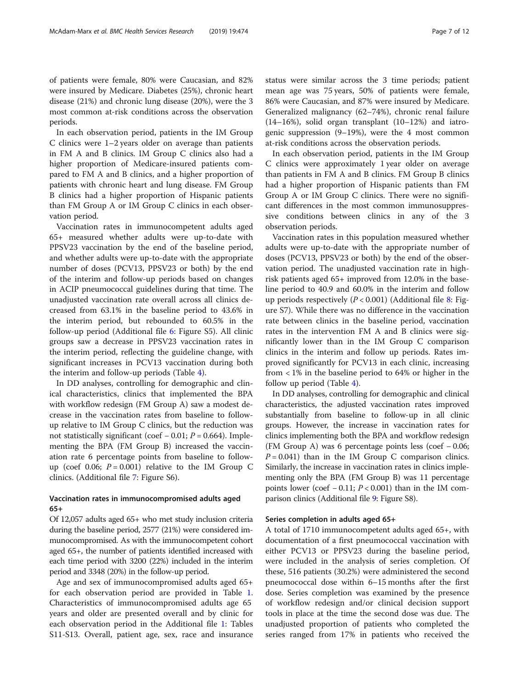of patients were female, 80% were Caucasian, and 82% were insured by Medicare. Diabetes (25%), chronic heart disease (21%) and chronic lung disease (20%), were the 3 most common at-risk conditions across the observation periods.

In each observation period, patients in the IM Group C clinics were 1–2 years older on average than patients in FM A and B clinics. IM Group C clinics also had a higher proportion of Medicare-insured patients compared to FM A and B clinics, and a higher proportion of patients with chronic heart and lung disease. FM Group B clinics had a higher proportion of Hispanic patients than FM Group A or IM Group C clinics in each observation period.

Vaccination rates in immunocompetent adults aged 65+ measured whether adults were up-to-date with PPSV23 vaccination by the end of the baseline period, and whether adults were up-to-date with the appropriate number of doses (PCV13, PPSV23 or both) by the end of the interim and follow-up periods based on changes in ACIP pneumococcal guidelines during that time. The unadjusted vaccination rate overall across all clinics decreased from 63.1% in the baseline period to 43.6% in the interim period, but rebounded to 60.5% in the follow-up period (Additional file [6:](#page-10-0) Figure S5). All clinic groups saw a decrease in PPSV23 vaccination rates in the interim period, reflecting the guideline change, with significant increases in PCV13 vaccination during both the interim and follow-up periods (Table [4\)](#page-5-0).

In DD analyses, controlling for demographic and clinical characteristics, clinics that implemented the BPA with workflow redesign (FM Group A) saw a modest decrease in the vaccination rates from baseline to followup relative to IM Group C clinics, but the reduction was not statistically significant (coef  $-0.01$ ;  $P = 0.664$ ). Implementing the BPA (FM Group B) increased the vaccination rate 6 percentage points from baseline to followup (coef 0.06;  $P = 0.001$ ) relative to the IM Group C clinics. (Additional file [7:](#page-10-0) Figure S6).

## Vaccination rates in immunocompromised adults aged 65+

Of 12,057 adults aged 65+ who met study inclusion criteria during the baseline period, 2577 (21%) were considered immunocompromised. As with the immunocompetent cohort aged 65+, the number of patients identified increased with each time period with 3200 (22%) included in the interim period and 3348 (20%) in the follow-up period.

Age and sex of immunocompromised adults aged 65+ for each observation period are provided in Table [1](#page-2-0). Characteristics of immunocompromised adults age 65 years and older are presented overall and by clinic for each observation period in the Additional file [1](#page-9-0): Tables S11-S13. Overall, patient age, sex, race and insurance status were similar across the 3 time periods; patient mean age was 75 years, 50% of patients were female, 86% were Caucasian, and 87% were insured by Medicare. Generalized malignancy (62–74%), chronic renal failure (14–16%), solid organ transplant (10–12%) and iatrogenic suppression (9–19%), were the 4 most common at-risk conditions across the observation periods.

In each observation period, patients in the IM Group C clinics were approximately 1 year older on average than patients in FM A and B clinics. FM Group B clinics had a higher proportion of Hispanic patients than FM Group A or IM Group C clinics. There were no significant differences in the most common immunosuppressive conditions between clinics in any of the 3 observation periods.

Vaccination rates in this population measured whether adults were up-to-date with the appropriate number of doses (PCV13, PPSV23 or both) by the end of the observation period. The unadjusted vaccination rate in highrisk patients aged 65+ improved from 12.0% in the baseline period to 40.9 and 60.0% in the interim and follow up periods respectively ( $P < 0.001$ ) (Additional file [8](#page-10-0): Figure S7). While there was no difference in the vaccination rate between clinics in the baseline period, vaccination rates in the intervention FM A and B clinics were significantly lower than in the IM Group C comparison clinics in the interim and follow up periods. Rates improved significantly for PCV13 in each clinic, increasing from < 1% in the baseline period to 64% or higher in the follow up period (Table [4\)](#page-5-0).

In DD analyses, controlling for demographic and clinical characteristics, the adjusted vaccination rates improved substantially from baseline to follow-up in all clinic groups. However, the increase in vaccination rates for clinics implementing both the BPA and workflow redesign (FM Group A) was 6 percentage points less (coef − 0.06;  $P = 0.041$ ) than in the IM Group C comparison clinics. Similarly, the increase in vaccination rates in clinics implementing only the BPA (FM Group B) was 11 percentage points lower (coef  $-0.11$ ;  $P < 0.001$ ) than in the IM comparison clinics (Additional file [9](#page-10-0): Figure S8).

## Series completion in adults aged 65+

A total of 1710 immunocompetent adults aged 65+, with documentation of a first pneumococcal vaccination with either PCV13 or PPSV23 during the baseline period, were included in the analysis of series completion. Of these, 516 patients (30.2%) were administered the second pneumococcal dose within 6–15 months after the first dose. Series completion was examined by the presence of workflow redesign and/or clinical decision support tools in place at the time the second dose was due. The unadjusted proportion of patients who completed the series ranged from 17% in patients who received the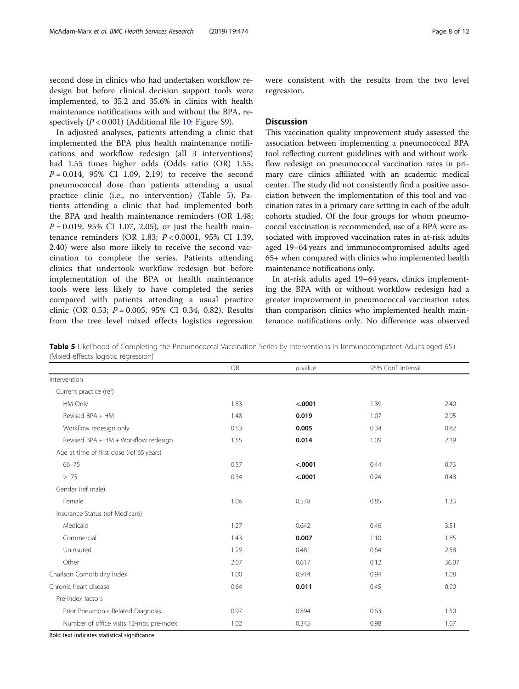second dose in clinics who had undertaken workflow redesign but before clinical decision support tools were implemented, to 35.2 and 35.6% in clinics with health maintenance notifications with and without the BPA, respectively  $(P < 0.001)$  (Additional file [10](#page-10-0): Figure S9).

In adjusted analyses, patients attending a clinic that implemented the BPA plus health maintenance notifications and workflow redesign (all 3 interventions) had 1.55 times higher odds (Odds ratio (OR) 1.55;  $P = 0.014$ , 95% CI 1.09, 2.19) to receive the second pneumococcal dose than patients attending a usual practice clinic (i.e., no intervention) (Table 5). Patients attending a clinic that had implemented both the BPA and health maintenance reminders (OR 1.48;  $P = 0.019$ , 95% CI 1.07, 2.05), or just the health maintenance reminders (OR 1.83; P < 0.0001, 95% CI 1.39, 2.40) were also more likely to receive the second vaccination to complete the series. Patients attending clinics that undertook workflow redesign but before implementation of the BPA or health maintenance tools were less likely to have completed the series compared with patients attending a usual practice clinic (OR 0.53;  $P = 0.005$ , 95% CI 0.34, 0.82). Results from the tree level mixed effects logistics regression were consistent with the results from the two level regression.

## **Discussion**

This vaccination quality improvement study assessed the association between implementing a pneumococcal BPA tool reflecting current guidelines with and without workflow redesign on pneumococcal vaccination rates in primary care clinics affiliated with an academic medical center. The study did not consistently find a positive association between the implementation of this tool and vaccination rates in a primary care setting in each of the adult cohorts studied. Of the four groups for whom pneumococcal vaccination is recommended, use of a BPA were associated with improved vaccination rates in at-risk adults aged 19–64 years and immunocompromised adults aged 65+ when compared with clinics who implemented health maintenance notifications only.

In at-risk adults aged 19–64 years, clinics implementing the BPA with or without workflow redesign had a greater improvement in pneumococcal vaccination rates than comparison clinics who implemented health maintenance notifications only. No difference was observed

Table 5 Likelihood of Completing the Pneumococcal Vaccination Series by Interventions in Immunocompetent Adults aged 65+ (Mixed effects logistic regression)

|                                          | <b>OR</b> | $p$ -value | 95% Conf. Interval |       |  |  |  |  |  |
|------------------------------------------|-----------|------------|--------------------|-------|--|--|--|--|--|
| Intervention                             |           |            |                    |       |  |  |  |  |  |
| Current practice (ref)                   |           |            |                    |       |  |  |  |  |  |
| HM Only                                  | 1.83      | < .0001    | 1.39               | 2.40  |  |  |  |  |  |
| Revised BPA + HM                         | 1.48      | 0.019      | 1.07               | 2.05  |  |  |  |  |  |
| Workflow redesign only                   | 0.53      | 0.005      | 0.34               | 0.82  |  |  |  |  |  |
| Revised BPA + HM + Workflow redesign     | 1.55      | 0.014      | 1.09               | 2.19  |  |  |  |  |  |
| Age at time of first dose (ref 65 years) |           |            |                    |       |  |  |  |  |  |
| $66 - 75$                                | 0.57      | < .0001    | 0.44               | 0.73  |  |  |  |  |  |
| > 75                                     | 0.34      | < .0001    | 0.24               | 0.48  |  |  |  |  |  |
| Gender (ref male)                        |           |            |                    |       |  |  |  |  |  |
| Female                                   | 1.06      | 0.578      | 0.85               | 1.33  |  |  |  |  |  |
| Insurance Status (ref Medicare)          |           |            |                    |       |  |  |  |  |  |
| Medicaid                                 | 1.27      | 0.642      | 0.46               | 3.51  |  |  |  |  |  |
| Commercial                               | 1.43      | 0.007      | 1.10               | 1.85  |  |  |  |  |  |
| Uninsured                                | 1.29      | 0.481      | 0.64               | 2.58  |  |  |  |  |  |
| Other                                    | 2.07      | 0.617      | 0.12               | 36.07 |  |  |  |  |  |
| Charlson Comorbidity Index               | 1.00      | 0.914      | 0.94               | 1.08  |  |  |  |  |  |
| Chronic heart disease                    | 0.64      | 0.011      | 0.45               | 0.90  |  |  |  |  |  |
| Pre-index factors                        |           |            |                    |       |  |  |  |  |  |
| Prior Pneumonia-Related Diagnosis        | 0.97      | 0.894      | 0.63               | 1.50  |  |  |  |  |  |
| Number of office visits 12-mos pre-index | 1.02      | 0.345      | 0.98               | 1.07  |  |  |  |  |  |

Bold text indicates statistical significance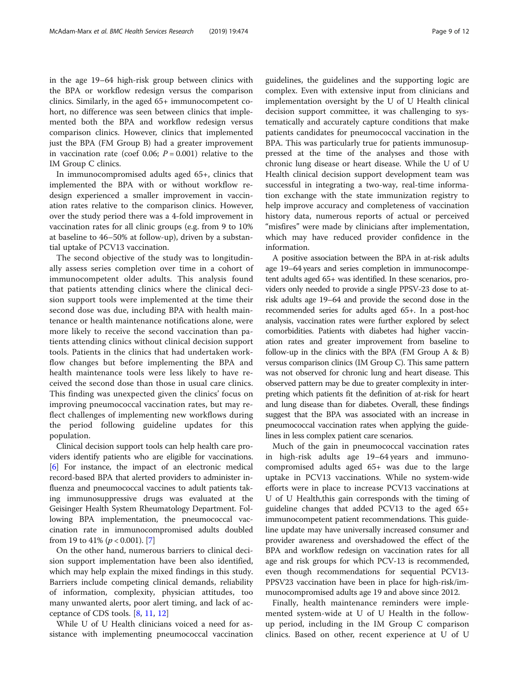in the age 19–64 high-risk group between clinics with the BPA or workflow redesign versus the comparison clinics. Similarly, in the aged 65+ immunocompetent cohort, no difference was seen between clinics that implemented both the BPA and workflow redesign versus comparison clinics. However, clinics that implemented just the BPA (FM Group B) had a greater improvement in vaccination rate (coef 0.06;  $P = 0.001$ ) relative to the IM Group C clinics.

In immunocompromised adults aged 65+, clinics that implemented the BPA with or without workflow redesign experienced a smaller improvement in vaccination rates relative to the comparison clinics. However, over the study period there was a 4-fold improvement in vaccination rates for all clinic groups (e.g. from 9 to 10% at baseline to 46–50% at follow-up), driven by a substantial uptake of PCV13 vaccination.

The second objective of the study was to longitudinally assess series completion over time in a cohort of immunocompetent older adults. This analysis found that patients attending clinics where the clinical decision support tools were implemented at the time their second dose was due, including BPA with health maintenance or health maintenance notifications alone, were more likely to receive the second vaccination than patients attending clinics without clinical decision support tools. Patients in the clinics that had undertaken workflow changes but before implementing the BPA and health maintenance tools were less likely to have received the second dose than those in usual care clinics. This finding was unexpected given the clinics' focus on improving pneumococcal vaccination rates, but may reflect challenges of implementing new workflows during the period following guideline updates for this population.

Clinical decision support tools can help health care providers identify patients who are eligible for vaccinations. [[6\]](#page-11-0) For instance, the impact of an electronic medical record-based BPA that alerted providers to administer influenza and pneumococcal vaccines to adult patients taking immunosuppressive drugs was evaluated at the Geisinger Health System Rheumatology Department. Following BPA implementation, the pneumococcal vaccination rate in immunocompromised adults doubled from 19 to 41% ( $p < 0.001$ ). [\[7](#page-11-0)]

On the other hand, numerous barriers to clinical decision support implementation have been also identified, which may help explain the mixed findings in this study. Barriers include competing clinical demands, reliability of information, complexity, physician attitudes, too many unwanted alerts, poor alert timing, and lack of acceptance of CDS tools. [\[8](#page-11-0), [11,](#page-11-0) [12\]](#page-11-0)

While U of U Health clinicians voiced a need for assistance with implementing pneumococcal vaccination guidelines, the guidelines and the supporting logic are complex. Even with extensive input from clinicians and implementation oversight by the U of U Health clinical decision support committee, it was challenging to systematically and accurately capture conditions that make patients candidates for pneumococcal vaccination in the BPA. This was particularly true for patients immunosuppressed at the time of the analyses and those with chronic lung disease or heart disease. While the U of U Health clinical decision support development team was successful in integrating a two-way, real-time information exchange with the state immunization registry to help improve accuracy and completeness of vaccination history data, numerous reports of actual or perceived "misfires" were made by clinicians after implementation, which may have reduced provider confidence in the information.

A positive association between the BPA in at-risk adults age 19–64 years and series completion in immunocompetent adults aged 65+ was identified. In these scenarios, providers only needed to provide a single PPSV-23 dose to atrisk adults age 19–64 and provide the second dose in the recommended series for adults aged 65+. In a post-hoc analysis, vaccination rates were further explored by select comorbidities. Patients with diabetes had higher vaccination rates and greater improvement from baseline to follow-up in the clinics with the BPA (FM Group  $A \& B$ ) versus comparison clinics (IM Group C). This same pattern was not observed for chronic lung and heart disease. This observed pattern may be due to greater complexity in interpreting which patients fit the definition of at-risk for heart and lung disease than for diabetes. Overall, these findings suggest that the BPA was associated with an increase in pneumococcal vaccination rates when applying the guidelines in less complex patient care scenarios.

Much of the gain in pneumococcal vaccination rates in high-risk adults age 19–64 years and immunocompromised adults aged 65+ was due to the large uptake in PCV13 vaccinations. While no system-wide efforts were in place to increase PCV13 vaccinations at U of U Health,this gain corresponds with the timing of guideline changes that added PCV13 to the aged 65+ immunocompetent patient recommendations. This guideline update may have universally increased consumer and provider awareness and overshadowed the effect of the BPA and workflow redesign on vaccination rates for all age and risk groups for which PCV-13 is recommended, even though recommendations for sequential PCV13- PPSV23 vaccination have been in place for high-risk/immunocompromised adults age 19 and above since 2012.

Finally, health maintenance reminders were implemented system-wide at U of U Health in the followup period, including in the IM Group C comparison clinics. Based on other, recent experience at U of U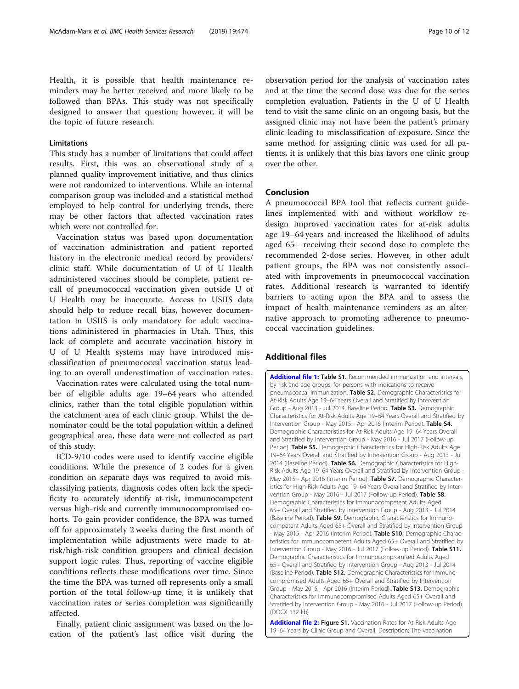<span id="page-9-0"></span>Health, it is possible that health maintenance reminders may be better received and more likely to be followed than BPAs. This study was not specifically designed to answer that question; however, it will be the topic of future research.

## Limitations

This study has a number of limitations that could affect results. First, this was an observational study of a planned quality improvement initiative, and thus clinics were not randomized to interventions. While an internal comparison group was included and a statistical method employed to help control for underlying trends, there may be other factors that affected vaccination rates which were not controlled for.

Vaccination status was based upon documentation of vaccination administration and patient reported history in the electronic medical record by providers/ clinic staff. While documentation of U of U Health administered vaccines should be complete, patient recall of pneumococcal vaccination given outside U of U Health may be inaccurate. Access to USIIS data should help to reduce recall bias, however documentation in USIIS is only mandatory for adult vaccinations administered in pharmacies in Utah. Thus, this lack of complete and accurate vaccination history in U of U Health systems may have introduced misclassification of pneumococcal vaccination status leading to an overall underestimation of vaccination rates.

Vaccination rates were calculated using the total number of eligible adults age 19–64 years who attended clinics, rather than the total eligible population within the catchment area of each clinic group. Whilst the denominator could be the total population within a defined geographical area, these data were not collected as part of this study.

ICD-9/10 codes were used to identify vaccine eligible conditions. While the presence of 2 codes for a given condition on separate days was required to avoid misclassifying patients, diagnosis codes often lack the specificity to accurately identify at-risk, immunocompetent versus high-risk and currently immunocompromised cohorts. To gain provider confidence, the BPA was turned off for approximately 2 weeks during the first month of implementation while adjustments were made to atrisk/high-risk condition groupers and clinical decision support logic rules. Thus, reporting of vaccine eligible conditions reflects these modifications over time. Since the time the BPA was turned off represents only a small portion of the total follow-up time, it is unlikely that vaccination rates or series completion was significantly affected.

Finally, patient clinic assignment was based on the location of the patient's last office visit during the observation period for the analysis of vaccination rates and at the time the second dose was due for the series completion evaluation. Patients in the U of U Health tend to visit the same clinic on an ongoing basis, but the assigned clinic may not have been the patient's primary clinic leading to misclassification of exposure. Since the same method for assigning clinic was used for all patients, it is unlikely that this bias favors one clinic group over the other.

## Conclusion

A pneumococcal BPA tool that reflects current guidelines implemented with and without workflow redesign improved vaccination rates for at-risk adults age 19–64 years and increased the likelihood of adults aged 65+ receiving their second dose to complete the recommended 2-dose series. However, in other adult patient groups, the BPA was not consistently associated with improvements in pneumococcal vaccination rates. Additional research is warranted to identify barriers to acting upon the BPA and to assess the impact of health maintenance reminders as an alternative approach to promoting adherence to pneumococcal vaccination guidelines.

## Additional files

[Additional file 1:](https://doi.org/10.1186/s12913-019-4263-2) Table S1. Recommended immunization and intervals, by risk and age groups, for persons with indications to receive pneumococcal immunization. Table S2. Demographic Characteristics for At-Risk Adults Age 19–64 Years Overall and Stratified by Intervention Group - Aug 2013 - Jul 2014, Baseline Period. Table S3. Demographic Characteristics for At-Risk Adults Age 19–64 Years Overall and Stratified by Intervention Group - May 2015 - Apr 2016 (Interim Period). Table S4. Demographic Characteristics for At-Risk Adults Age 19–64 Years Overall and Stratified by Intervention Group - May 2016 - Jul 2017 (Follow-up Period). Table S5. Demographic Characteristics for High-Risk Adults Age 19–64 Years Overall and Stratified by Intervention Group - Aug 2013 - Jul 2014 (Baseline Period). Table S6. Demographic Characteristics for High-Risk Adults Age 19–64 Years Overall and Stratified by Intervention Group - May 2015 - Apr 2016 (Interim Period). Table S7. Demographic Characteristics for High-Risk Adults Age 19–64 Years Overall and Stratified by Intervention Group - May 2016 - Jul 2017 (Follow-up Period). Table S8. Demographic Characteristics for Immunocompetent Adults Aged 65+ Overall and Stratified by Intervention Group - Aug 2013 - Jul 2014 (Baseline Period). Table S9. Demographic Characteristics for Immunocompetent Adults Aged 65+ Overall and Stratified by Intervention Group - May 2015 - Apr 2016 (Interim Period). Table S10. Demographic Characteristics for Immunocompetent Adults Aged 65+ Overall and Stratified by Intervention Group - May 2016 - Jul 2017 (Follow-up Period). Table S11. Demographic Characteristics for Immunocompromised Adults Aged 65+ Overall and Stratified by Intervention Group - Aug 2013 - Jul 2014 (Baseline Period). Table S12. Demographic Characteristics for Immunocompromised Adults Aged 65+ Overall and Stratified by Intervention Group - May 2015 - Apr 2016 (Interim Period). Table S13. Demographic Characteristics for Immunocompromised Adults Aged 65+ Overall and Stratified by Intervention Group - May 2016 - Jul 2017 (Follow-up Period). (DOCX 132 kb)

[Additional file 2:](https://doi.org/10.1186/s12913-019-4263-2) Figure S1. Vaccination Rates for At-Risk Adults Age 19–64 Years by Clinic Group and Overall. Description: The vaccination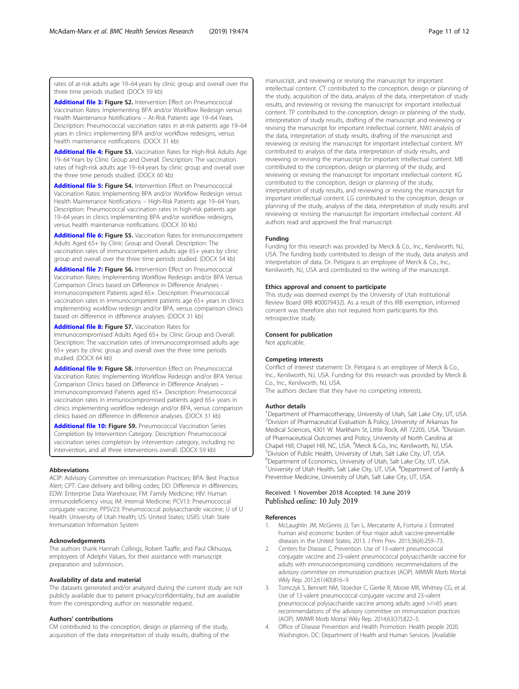<span id="page-10-0"></span>rates of at-risk adults age 19–64 years by clinic group and overall over the three time periods studied. (DOCX 59 kb)

[Additional file 3:](https://doi.org/10.1186/s12913-019-4263-2) Figure S2. Intervention Effect on Pneumococcal Vaccination Rates: Implementing BPA and/or Workflow Redesign versus Health Maintenance Notifications – At-Risk Patients age 19–64 Years. Description: Pneumococcal vaccination rates in at-risk patients age 19–64 years in clinics implementing BPA and/or workflow redesigns, versus health maintenance notifications. (DOCX 31 kb)

[Additional file 4:](https://doi.org/10.1186/s12913-019-4263-2) Figure S3. Vaccination Rates for High-Risk Adults Age 19–64 Years by Clinic Group and Overall. Description: The vaccination rates of high-risk adults age 19–64 years by clinic group and overall over the three time periods studied. (DOCX 60 kb)

[Additional file 5:](https://doi.org/10.1186/s12913-019-4263-2) Figure S4. Intervention Effect on Pneumococcal Vaccination Rates: Implementing BPA and/or Workflow Redesign versus Health Maintenance Notifications – High-Risk Patients age 19–64 Years. Description: Pneumococcal vaccination rates in high-risk patients age 19–64 years in clinics implementing BPA and/or workflow redesigns, versus health maintenance notifications. (DOCX 30 kb)

[Additional file 6:](https://doi.org/10.1186/s12913-019-4263-2) Figure S5. Vaccination Rates for Immunocompetent Adults Aged 65+ by Clinic Group and Overall. Description: The vaccination rates of immunocompetent adults age 65+ years by clinic group and overall over the three time periods studied. (DOCX 54 kb)

[Additional file 7:](https://doi.org/10.1186/s12913-019-4263-2) Figure S6. Intervention Effect on Pneumococcal Vaccination Rates: Implementing Workflow Redesign and/or BPA Versus Comparison Clinics based on Difference in Difference Analyses - Immunocompetent Patients aged 65+. Description: Pneumococcal vaccination rates in immunocompetent patients age 65+ years in clinics implementing workflow redesign and/or BPA, versus comparison clinics based on difference in difference analyses. (DOCX 31 kb)

## [Additional file 8:](https://doi.org/10.1186/s12913-019-4263-2) Figure S7. Vaccination Rates for

Immunocompromised Adults Aged 65+ by Clinic Group and Overall. Description: The vaccination rates of immunocompromised adults age 65+ years by clinic group and overall over the three time periods studied. (DOCX 64 kb)

[Additional file 9:](https://doi.org/10.1186/s12913-019-4263-2) Figure S8. Intervention Effect on Pneumococcal Vaccination Rates: Implementing Workflow Redesign and/or BPA Versus Comparison Clinics based on Difference in Difference Analyses – Immunocompromised Patients aged 65+. Description: Pneumococcal vaccination rates in immunocompromised patients aged 65+ years in clinics implementing workflow redesign and/or BPA, versus comparison clinics based on difference in difference analyses. (DOCX 31 kb)

[Additional file 10:](https://doi.org/10.1186/s12913-019-4263-2) Figure S9. Pneumococcal Vaccination Series Completion by Intervention Category. Description: Pneumococcal vaccination series completion by intervention category, including no intervention, and all three interventions overall. (DOCX 59 kb)

#### Abbreviations

ACIP: Advisory Committee on Immunization Practices; BPA: Best Practice Alert; CPT: Care delivery and billing codes; DD: Difference in differences; EDW: Enterprise Data Warehouse; FM: Family Medicine; HIV: Human immunodeficiency virus; IM: Internal Medicine; PCV13: Pneumococcal conjugate vaccine; PPSV23: Pneumococcal polysaccharide vaccine; U of U Health: University of Utah Health; US: United States; USIIS: Utah State Immunization Information System

## Acknowledgements

The authors thank Hannah Collings, Robert Taaffe, and Paul Okhuoya, employees of Adelphi Values, for their assistance with manuscript preparation and submission.

#### Availability of data and material

The datasets generated and/or analyzed during the current study are not publicly available due to patient privacy/confidentiality, but are available from the corresponding author on reasonable request.

#### Authors' contributions

CM contributed to the conception, design or planning of the study, acquisition of the data interpretation of study results, drafting of the manuscript, and reviewing or revising the manuscript for important intellectual content. CT contributed to the conception, design or planning of the study, acquisition of the data, analysis of the data, interpretation of study results, and reviewing or revising the manuscript for important intellectual content. TP contributed to the conception, design or planning of the study, interpretation of study results, drafting of the manuscript and reviewing or revising the manuscript for important intellectual content. NWJ analysis of the data, interpretation of study results, drafting of the manuscript and reviewing or revising the manuscript for important intellectual content. MY contributed to analysis of the data, interpretation of study results, and reviewing or revising the manuscript for important intellectual content. MB contributed to the conception, design or planning of the study, and reviewing or revising the manuscript for important intellectual content. KG contributed to the conception, design or planning of the study, interpretation of study results, and reviewing or revising the manuscript for important intellectual content. LG contributed to the conception, design or planning of the study, analysis of the data, interpretation of study results and reviewing or revising the manuscript for important intellectual content. All authors read and approved the final manuscript.

#### Funding

Funding for this research was provided by Merck & Co., Inc., Kenilworth, NJ, USA. The funding body contributed to design of the study, data analysis and interpretation of data. Dr. Petigara is an employee of Merck & Co., Inc., Kenilworth, NJ, USA and contributed to the writing of the manuscript.

## Ethics approval and consent to participate

This study was deemed exempt by the University of Utah Institutional Review Board (IRB #00079432). As a result of this IRB exemption, informed consent was therefore also not required from participants for this retrospective study.

#### Consent for publication

Not applicable.

#### Competing interests

Conflict of interest statement: Dr. Petigara is an employee of Merck & Co., Inc., Kenilworth, NJ, USA. Funding for this research was provided by Merck & Co., Inc., Kenilworth, NJ, USA.

The authors declare that they have no competing interests.

### Author details

<sup>1</sup>Department of Pharmacotherapy, University of Utah, Salt Lake City, UT, USA. 2 Division of Pharmaceutical Evaluation & Policy, University of Arkansas for Medical Sciences, 4301 W. Markham St, Little Rock, AR 72205, USA. <sup>3</sup>Division of Pharmaceutical Outcomes and Policy, University of North Carolina at Chapel Hill, Chapel Hill, NC, USA. <sup>4</sup>Merck & Co., Inc, Kenilworth, NJ, USA.<br><sup>5</sup> Division of Public Hoalth, University of Utah, Salt Lake City UT, USA. <sup>5</sup>Division of Public Health, University of Utah, Salt Lake City, UT, USA. 6 Department of Economics, University of Utah, Salt Lake City, UT, USA. <sup>7</sup>University of Utah Health, Salt Lake City, UT, USA. <sup>8</sup>Department of Family & Preventive Medicine, University of Utah, Salt Lake City, UT, USA.

## Received: 1 November 2018 Accepted: 14 June 2019 Published online: 10 July 2019

### References

- 1. McLaughlin JM, McGinnis JJ, Tan L, Mercatante A, Fortuna J. Estimated human and economic burden of four major adult vaccine-preventable diseases in the United States, 2013. J Prim Prev. 2015;36(4):259–73.
- 2. Centers for Disease C, Prevention. Use of 13-valent pneumococcal conjugate vaccine and 23-valent pneumococcal polysaccharide vaccine for adults with immunocompromising conditions: recommendations of the advisory committee on immunization practices (ACIP). MMWR Morb Mortal Wkly Rep. 2012;61(40):816–9.
- 3. Tomczyk S, Bennett NM, Stoecker C, Gierke R, Moore MR, Whitney CG, et al. Use of 13-valent pneumococcal conjugate vaccine and 23-valent pneumococcal polysaccharide vaccine among adults aged >/=65 years: recommendations of the advisory committee on immunization practices (ACIP). MMWR Morb Mortal Wkly Rep. 2014;63(37):822–5.
- 4. Office of Disease Prevention and Health Promotion. Health people 2020. Washington, DC: Department of Health and Human Services. [Available